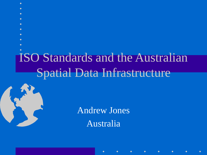- 
- 
- 
- 
- 
- 
- 
- 
- 
- 

# **ISO Standards and the Australian Spatial Data Infrastructure**



**Andrew Jones** Australia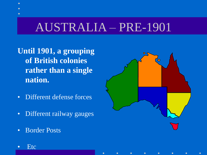# AUSTRALIA – PRE-1901

**Until 1901, a grouping of British colonies rather than a single nation.**

- Different defense forces
- Different railway gauges
- Border Posts



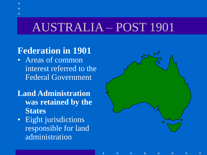# AUSTRALIA – POST 1901

### **Federation in 1901**

- Areas of common interest referred to the Federal Government
- **Land Administration was retained by the States**
- Eight jurisdictions responsible for land administration

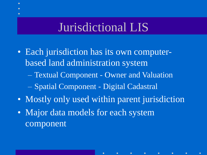## Jurisdictional LIS

- Each jurisdiction has its own computerbased land administration system
	- Textual Component Owner and Valuation
	- Spatial Component Digital Cadastral
- Mostly only used within parent jurisdiction

 $\bullet$ 

• Major data models for each system component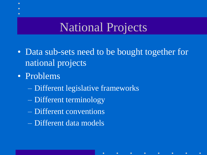# National Projects

• Data sub-sets need to be bought together for national projects

- Problems
	- Different legislative frameworks
	- Different terminology
	- Different conventions
	- Different data models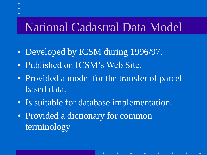### National Cadastral Data Model

- Developed by ICSM during 1996/97.
- Published on ICSM's Web Site.
- Provided a model for the transfer of parcelbased data.

- Is suitable for database implementation.
- Provided a dictionary for common terminology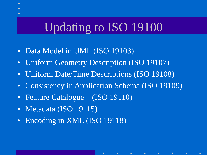# Updating to ISO 19100

- Data Model in UML (ISO 19103)
- Uniform Geometry Description (ISO 19107)
- Uniform Date/Time Descriptions (ISO 19108)
- Consistency in Application Schema (ISO 19109)

- Feature Catalogue (ISO 19110)
- Metadata (ISO 19115)
- Encoding in XML (ISO 19118)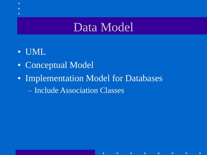### Data Model

 $\bullet$ 

 $\bullet$ 

 $\bullet$ 

 $\bullet$ 

 $\bullet$ 

 $\bullet$ 

- UML
- Conceptual Model
- Implementation Model for Databases
	- Include Association Classes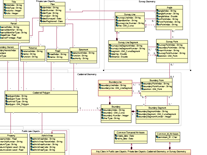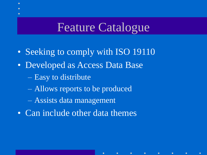## Feature Catalogue

- Seeking to comply with ISO 19110
- Developed as Access Data Base
	- Easy to distribute
	- Allows reports to be produced
	- Assists data management
- Can include other data themes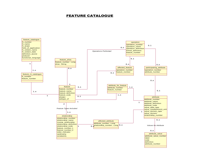#### FEATURE CATALOGUE

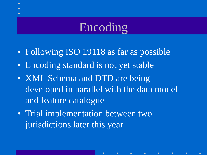# Encoding

- Following ISO 19118 as far as possible
- Encoding standard is not yet stable
- XML Schema and DTD are being developed in parallel with the data model and feature catalogue

 $\bullet$ 

• Trial implementation between two jurisdictions later this year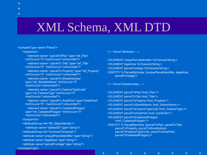### XML Schema, XML DTD

 $\bullet$ 

#### <complexType name="Parcel">

#### <sequence>

 $\bullet$ 

<element name= "parcelToPlan" type="ref\_Plan" minOccurs="0" maxOccurs="unbounded"/> <element name= "parcelTo Title" type="ref\_Title" minOccurs="0" maxOccurs="unbounded"/> <element name= "parcelTo Property" type="ref\_Property" minOccurs="0" maxOccurs="unbounded"/> <element name= "parcelTo StreetAddress" type="ref\_StreetAddress" minOccurs="0" maxOccurs="unbounded"/> <element name= "parcelTo FeatureTypeCode" type="ref\_FeatureType" minOccurs="0" maxOccurs="unbounded"/> <element name= "parcelTo AreaPoint" type="AreaPoint" minOccurs="0" maxOccurs="unbounded"/> <element name= "parcelTo CadastralPolygon" type="ref\_CadastralPolygon" minOccurs="0" maxOccurs="unbounded"/> </sequence> <attributeGroup ref="IM\_ObjectIdentity"/> <attribute name="datasetID" type="string"/> <attributeGroup ref="CommonTemporal"/> <attribute name="uniqueParcelIdentifier" type="string"/> <attribute name="legalArea" type="string"/> <attribute name="parcelFrontage" type="string"/> </complexType>

<! – Parcel Attributes -- >

<!ELEMENT uniqueParcelIdentifier %CharacterString;> <!ELEMENT legalArea %CharacterString;> <!ELEMENT parcelFrontage %CharacterString;> <!ENTITY % ParcelAttributes '(uniqueParcelIdentifier, legalArea, parcelFrontage)'>

<! – Parcel Relationships -- >

<!ELEMENT parcelToPlan %ref\_Plan;\*> <!ELEMENT parcelToTitle %ref\_Title;\*> <!ELEMENT parcelToProperty %ref\_Property;\*> <!ELEMENT parcelToStreetAdress %ref\_StreetAdress;\*> <!ELEMENT parcelToFeatureTypeCode %ref\_FeatureType;?> <!ELEMENT parcelToAreaPoint %ref\_AreaPoint;\*> <!ELEMENT parcelToCadastralPolygon %ref\_CadastralPolygon;\*> <!ENTITY % ParcelElements '(parcelToPlan, parcelToTitle, parcelToProperty, parcelToStreetAdress, parcelToFeatureTypeCode, parcelToAreaPoint, parcelToCadastralPolygon)'>

 $\bullet$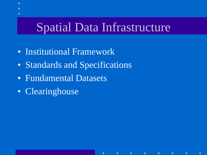## Spatial Data Infrastructure

 $\bullet$ 

 $\bullet$ 

- Institutional Framework
- Standards and Specifications
- Fundamental Datasets
- Clearinghouse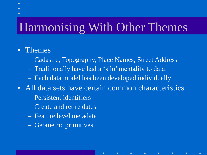# Harmonising With Other Themes

### • Themes

- Cadastre, Topography, Place Names, Street Address
- Traditionally have had a 'silo' mentality to data.
- Each data model has been developed individually
- All data sets have certain common characteristics

- Persistent identifiers
- Create and retire dates
- Feature level metadata
- Geometric primitives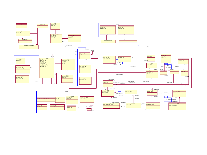